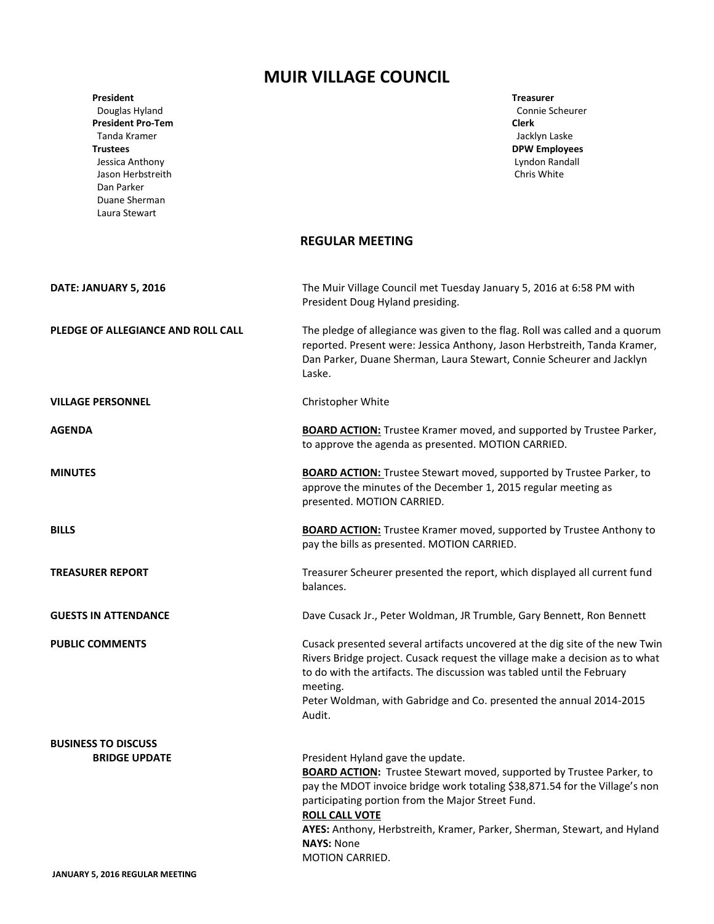## **MUIR VILLAGE COUNCIL**

| President<br>Douglas Hyland<br><b>President Pro-Tem</b><br>Tanda Kramer<br><b>Trustees</b><br>Jessica Anthony<br>Jason Herbstreith<br>Dan Parker<br>Duane Sherman<br>Laura Stewart | <b>Treasurer</b><br>Connie Scheurer<br><b>Clerk</b><br>Jacklyn Laske<br><b>DPW Employees</b><br>Lyndon Randall<br>Chris White                                                                                                                                                                                                                                                                     |
|------------------------------------------------------------------------------------------------------------------------------------------------------------------------------------|---------------------------------------------------------------------------------------------------------------------------------------------------------------------------------------------------------------------------------------------------------------------------------------------------------------------------------------------------------------------------------------------------|
|                                                                                                                                                                                    | <b>REGULAR MEETING</b>                                                                                                                                                                                                                                                                                                                                                                            |
| DATE: JANUARY 5, 2016                                                                                                                                                              | The Muir Village Council met Tuesday January 5, 2016 at 6:58 PM with<br>President Doug Hyland presiding.                                                                                                                                                                                                                                                                                          |
| PLEDGE OF ALLEGIANCE AND ROLL CALL                                                                                                                                                 | The pledge of allegiance was given to the flag. Roll was called and a quorum<br>reported. Present were: Jessica Anthony, Jason Herbstreith, Tanda Kramer,<br>Dan Parker, Duane Sherman, Laura Stewart, Connie Scheurer and Jacklyn<br>Laske.                                                                                                                                                      |
| <b>VILLAGE PERSONNEL</b>                                                                                                                                                           | Christopher White                                                                                                                                                                                                                                                                                                                                                                                 |
| <b>AGENDA</b>                                                                                                                                                                      | <b>BOARD ACTION:</b> Trustee Kramer moved, and supported by Trustee Parker,<br>to approve the agenda as presented. MOTION CARRIED.                                                                                                                                                                                                                                                                |
| <b>MINUTES</b>                                                                                                                                                                     | <b>BOARD ACTION:</b> Trustee Stewart moved, supported by Trustee Parker, to<br>approve the minutes of the December 1, 2015 regular meeting as<br>presented. MOTION CARRIED.                                                                                                                                                                                                                       |
| <b>BILLS</b>                                                                                                                                                                       | <b>BOARD ACTION:</b> Trustee Kramer moved, supported by Trustee Anthony to<br>pay the bills as presented. MOTION CARRIED.                                                                                                                                                                                                                                                                         |
| <b>TREASURER REPORT</b>                                                                                                                                                            | Treasurer Scheurer presented the report, which displayed all current fund<br>balances.                                                                                                                                                                                                                                                                                                            |
| <b>GUESTS IN ATTENDANCE</b>                                                                                                                                                        | Dave Cusack Jr., Peter Woldman, JR Trumble, Gary Bennett, Ron Bennett                                                                                                                                                                                                                                                                                                                             |
| <b>PUBLIC COMMENTS</b>                                                                                                                                                             | Cusack presented several artifacts uncovered at the dig site of the new Twin<br>Rivers Bridge project. Cusack request the village make a decision as to what<br>to do with the artifacts. The discussion was tabled until the February<br>meeting.<br>Peter Woldman, with Gabridge and Co. presented the annual 2014-2015<br>Audit.                                                               |
| <b>BUSINESS TO DISCUSS</b>                                                                                                                                                         |                                                                                                                                                                                                                                                                                                                                                                                                   |
| <b>BRIDGE UPDATE</b>                                                                                                                                                               | President Hyland gave the update.<br><b>BOARD ACTION:</b> Trustee Stewart moved, supported by Trustee Parker, to<br>pay the MDOT invoice bridge work totaling \$38,871.54 for the Village's non<br>participating portion from the Major Street Fund.<br><b>ROLL CALL VOTE</b><br>AYES: Anthony, Herbstreith, Kramer, Parker, Sherman, Stewart, and Hyland<br><b>NAYS: None</b><br>MOTION CARRIED. |